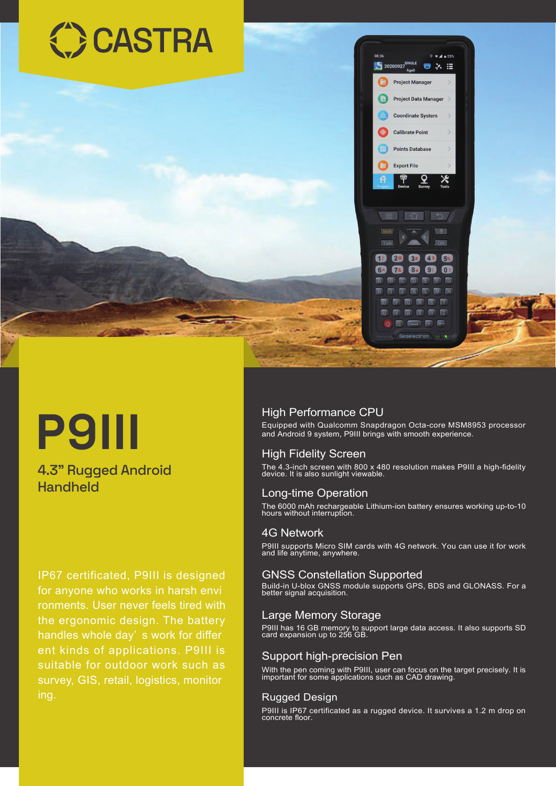

# **P9III**

### 4.3" Rugged Android Handheld

IP67 certificated, P9III is designed for anyone who works in harsh envi ronments. User never feels tired with the ergonomic design. The battery handles whole day' s work for differ ent kinds of applications. P9III is suitable for outdoor work such as survey, GIS, retail, logistics, monitor ing.

#### High Performance CPU

Equipped with Qualcomm Snapdragon Octa-core MSM8953 processor and Android 9 system, P9III brings with smooth experience.

#### High Fidelity Screen

The 4.3-inch screen with 800 x 480 resolution makes P9III a high-fidelity device. It is also sunlight viewable.

#### Long-time Operation

The 6000 mAh rechargeable Lithium-ion battery ensures working up-to-10 hours without interruption.

#### 4G Network

P9III supports Micro SIM cards with 4G network. You can use it for work and life anytime, anywhere.

#### GNSS Constellation Supported

Build-in U-blox GNSS module supports GPS, BDS and GLONASS. For a better signal acquisition.

#### Large Memory Storage

P9III has 16 GB memory to support large data access. It also supports SD card expansion up to 256 GB.

#### Support high-precision Pen

With the pen coming with P9III, user can focus on the target precisely. It is important for some applications such as CAD drawing.

#### Rugged Design

P9III is IP67 certificated as a rugged device. It survives a 1.2 m drop on concrete floor.